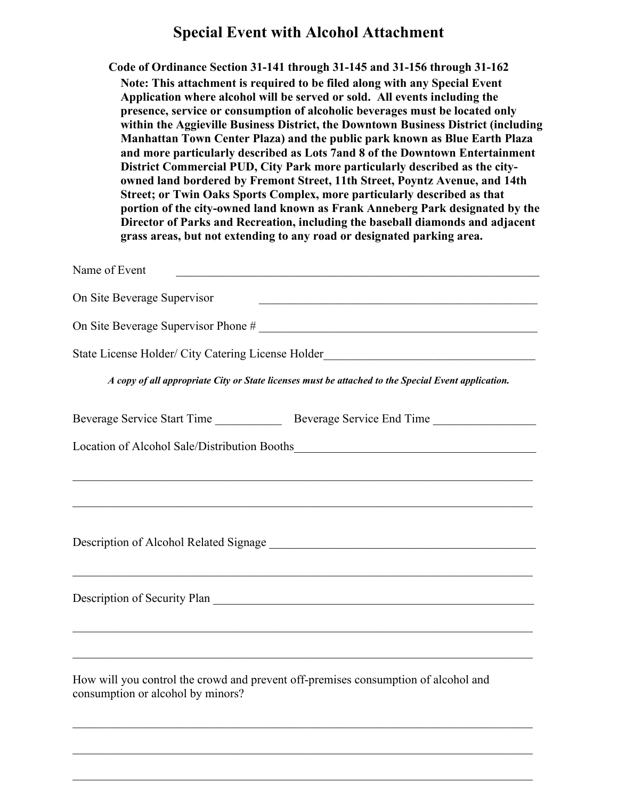## **Special Event with Alcohol Attachment**

**Code of Ordinance Section 31-141 through 31-145 and 31-156 through 31-162 Note: This attachment is required to be filed along with any Special Event Application where alcohol will be served or sold. All events including the presence, service or consumption of alcoholic beverages must be located only within the Aggieville Business District, the Downtown Business District (including Manhattan Town Center Plaza) and the public park known as Blue Earth Plaza and more particularly described as Lots 7and 8 of the Downtown Entertainment District Commercial PUD, City Park more particularly described as the cityowned land bordered by Fremont Street, 11th Street, Poyntz Avenue, and 14th Street; or Twin Oaks Sports Complex, more particularly described as that portion of the city-owned land known as Frank Anneberg Park designated by the Director of Parks and Recreation, including the baseball diamonds and adjacent grass areas, but not extending to any road or designated parking area.** 

| Name of Event                                                                                                           | <u> 1989 - Johann Stein, marwolaethau a bhann an t-Amhain an t-Amhain an t-Amhain an t-Amhain an t-Amhain an t-A</u> |
|-------------------------------------------------------------------------------------------------------------------------|----------------------------------------------------------------------------------------------------------------------|
| On Site Beverage Supervisor                                                                                             |                                                                                                                      |
|                                                                                                                         |                                                                                                                      |
|                                                                                                                         | State License Holder/ City Catering License Holder_______________________________                                    |
|                                                                                                                         | A copy of all appropriate City or State licenses must be attached to the Special Event application.                  |
|                                                                                                                         |                                                                                                                      |
|                                                                                                                         |                                                                                                                      |
|                                                                                                                         |                                                                                                                      |
|                                                                                                                         | ,我们也不能在这里的时候,我们也不能在这里的时候,我们也不能会在这里的时候,我们也不能会在这里的时候,我们也不能会在这里的时候,我们也不能会在这里的时候,我们也                                     |
|                                                                                                                         |                                                                                                                      |
|                                                                                                                         | Description of Security Plan                                                                                         |
|                                                                                                                         |                                                                                                                      |
| How will you control the crowd and prevent off-premises consumption of alcohol and<br>consumption or alcohol by minors? |                                                                                                                      |

\_\_\_\_\_\_\_\_\_\_\_\_\_\_\_\_\_\_\_\_\_\_\_\_\_\_\_\_\_\_\_\_\_\_\_\_\_\_\_\_\_\_\_\_\_\_\_\_\_\_\_\_\_\_\_\_\_\_\_\_\_\_\_\_\_\_\_\_\_\_\_\_\_\_\_\_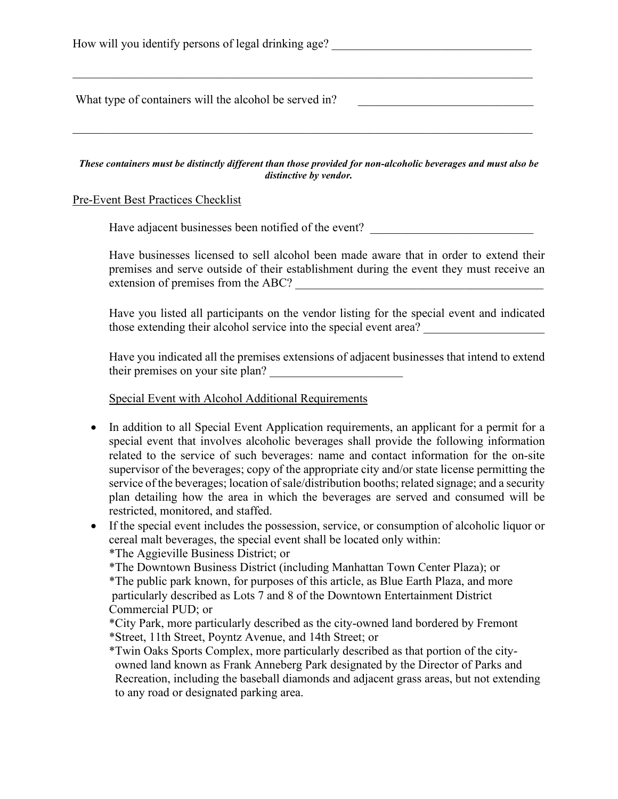How will you identify persons of legal drinking age? \_\_\_\_\_\_\_\_\_\_\_\_\_\_\_\_\_\_\_\_\_\_\_\_\_\_\_\_\_\_\_\_\_\_\_\_\_\_\_\_\_\_\_\_\_\_\_\_\_\_\_\_\_\_\_\_\_\_\_\_\_\_\_\_\_\_\_\_\_\_\_\_\_\_\_\_ What type of containers will the alcohol be served in?

*These containers must be distinctly different than those provided for non-alcoholic beverages and must also be distinctive by vendor.*

## Pre-Event Best Practices Checklist

Have adjacent businesses been notified of the event?

Have businesses licensed to sell alcohol been made aware that in order to extend their premises and serve outside of their establishment during the event they must receive an extension of premises from the ABC?

Have you listed all participants on the vendor listing for the special event and indicated those extending their alcohol service into the special event area?

Have you indicated all the premises extensions of adjacent businesses that intend to extend their premises on your site plan?

## Special Event with Alcohol Additional Requirements

- In addition to all Special Event Application requirements, an applicant for a permit for a special event that involves alcoholic beverages shall provide the following information related to the service of such beverages: name and contact information for the on-site supervisor of the beverages; copy of the appropriate city and/or state license permitting the service of the beverages; location of sale/distribution booths; related signage; and a security plan detailing how the area in which the beverages are served and consumed will be restricted, monitored, and staffed.
- If the special event includes the possession, service, or consumption of alcoholic liquor or cereal malt beverages, the special event shall be located only within:

\*The Aggieville Business District; or

\*The Downtown Business District (including Manhattan Town Center Plaza); or

\*The public park known, for purposes of this article, as Blue Earth Plaza, and more particularly described as Lots 7 and 8 of the Downtown Entertainment District Commercial PUD; or

\*City Park, more particularly described as the city-owned land bordered by Fremont \*Street, 11th Street, Poyntz Avenue, and 14th Street; or

\*Twin Oaks Sports Complex, more particularly described as that portion of the city owned land known as Frank Anneberg Park designated by the Director of Parks and Recreation, including the baseball diamonds and adjacent grass areas, but not extending to any road or designated parking area.